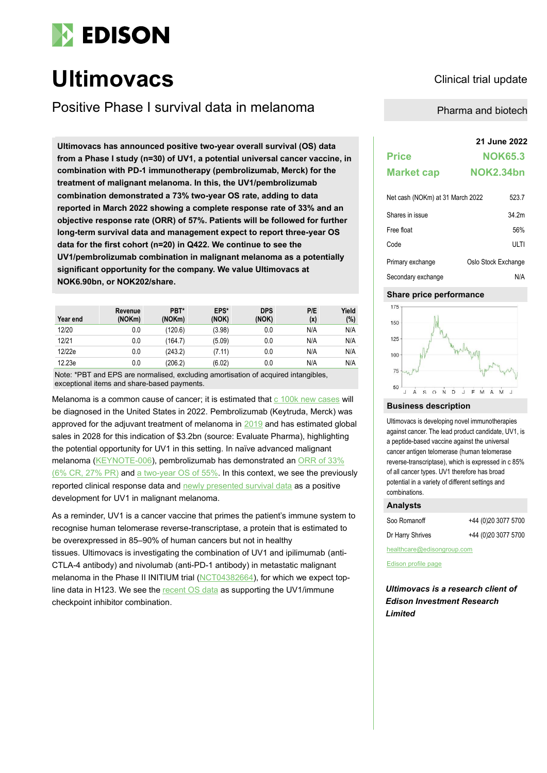

# **Ultimovacs** Clinical trial update

Positive Phase I survival data in melanoma<br>
Pharma and biotech

**21 June 2022 Ultimovacs has announced positive two-year overall survival (OS) data from a Phase I study (n=30) of UV1, a potential universal cancer vaccine, in combination with PD-1 immunotherapy (pembrolizumab, Merck) for the treatment of malignant melanoma. In this, the UV1/pembrolizumab combination demonstrated a 73% two-year OS rate, adding to data reported in March 2022 showing a complete response rate of 33% and an objective response rate (ORR) of 57%. Patients will be followed for further long-term survival data and management expect to report three-year OS data for the first cohort (n=20) in Q422. We continue to see the UV1/pembrolizumab combination in malignant melanoma as a potentially significant opportunity for the company. We value Ultimovacs at NOK6.90bn, or NOK202/share.**

| Year end | Revenue<br>(NOKm) | PBT*<br>(NOKm) | EPS*<br>(NOK) | <b>DPS</b><br>(NOK) | P/E<br>(x) | Yield<br>(%) |
|----------|-------------------|----------------|---------------|---------------------|------------|--------------|
| 12/20    | 0.0               | (120.6)        | (3.98)        | 0.0                 | N/A        | N/A          |
| 12/21    | 0.0               | (164.7)        | (5.09)        | 0.0                 | N/A        | N/A          |
| 12/22e   | 0.0               | (243.2)        | (7.11)        | 0.0                 | N/A        | N/A          |
| 12.23e   | 0.0               | (206.2)        | (6.02)        | 0.0                 | N/A        | N/A          |

Note: \*PBT and EPS are normalised, excluding amortisation of acquired intangibles, exceptional items and share-based payments.

Melanoma is a common cause of cancer; it is estimated that c 100k new cases will be diagnosed in the United States in 2022. Pembrolizumab (Keytruda, Merck) was approved for the adjuvant treatment of melanoma in 2019 and has estimated global sales in 2028 for this indication of \$3.2bn (source: Evaluate Pharma), highlighting the potential opportunity for UV1 in this setting. In naïve advanced malignant melanoma (KEYNOTE-006), pembrolizumab has demonstrated an ORR of 33% (6% CR, 27% PR) and a two-year OS of 55%. In this context, we see the previously reported clinical response data and newly presented survival data as a positive development for UV1 in malignant melanoma.

As a reminder, UV1 is a cancer vaccine that primes the patient's immune system to recognise human telomerase reverse-transcriptase, a protein that is estimated to be overexpressed in 85–90% of human cancers but not in healthy tissues. Ultimovacs is investigating the combination of UV1 and ipilimumab (anti-CTLA-4 antibody) and nivolumab (anti-PD-1 antibody) in metastatic malignant melanoma in the Phase II INITIUM trial (NCT04382664), for which we expect topline data in H123. We see the recent OS data as supporting the UV1/immune checkpoint inhibitor combination.

| <b>Price</b>                     | <b>NOK65.3</b>   |
|----------------------------------|------------------|
| <b>Market cap</b>                | <b>NOK2.34bn</b> |
| Net cash (NOKm) at 31 March 2022 | 523.7            |
| Shares in issue                  | 34.2m            |

| Free float         | 56%                 |
|--------------------|---------------------|
| Code               | ULTI                |
| Primary exchange   | Oslo Stock Exchange |
| Secondary exchange | N/A                 |

# **Share price performance**



# **Business description**

Ultimovacs is developing novel immunotherapies against cancer. The lead product candidate, UV1, is a peptide-based vaccine against the universal cancer antigen telomerase (human telomerase reverse-transcriptase), which is expressed in c 85% of all cancer types. UV1 therefore has broad potential in a variety of different settings and combinations.

# **Analysts**

| Soo Romanoff     | +44 (0)20 3077 5700 |
|------------------|---------------------|
| Dr Harry Shrives | +44 (0)20 3077 5700 |

healthcare@edisongroup.com

Edison profile page

*Ultimovacs is a research client of Edison Investment Research Limited*